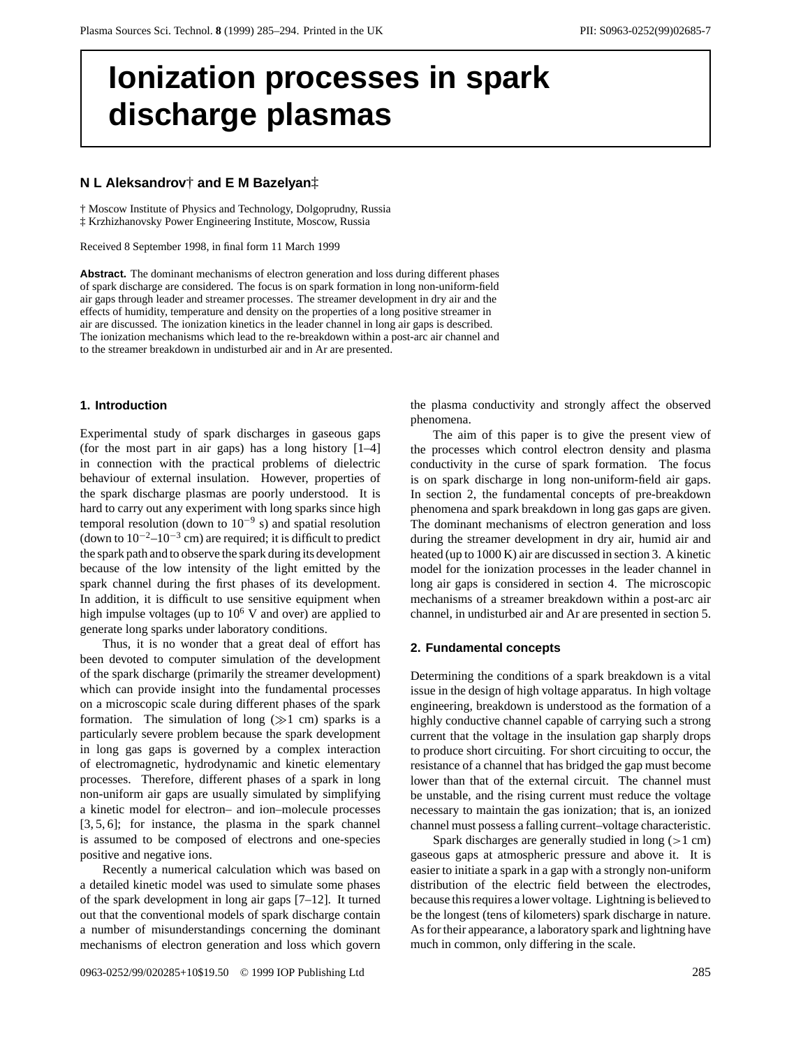# **Ionization processes in spark discharge plasmas**

# **N L Aleksandrov**† **and E M Bazelyan**‡

† Moscow Institute of Physics and Technology, Dolgoprudny, Russia ‡ Krzhizhanovsky Power Engineering Institute, Moscow, Russia

Received 8 September 1998, in final form 11 March 1999

**Abstract.** The dominant mechanisms of electron generation and loss during different phases of spark discharge are considered. The focus is on spark formation in long non-uniform-field air gaps through leader and streamer processes. The streamer development in dry air and the effects of humidity, temperature and density on the properties of a long positive streamer in air are discussed. The ionization kinetics in the leader channel in long air gaps is described. The ionization mechanisms which lead to the re-breakdown within a post-arc air channel and to the streamer breakdown in undisturbed air and in Ar are presented.

## **1. Introduction**

Experimental study of spark discharges in gaseous gaps (for the most part in air gaps) has a long history [1–4] in connection with the practical problems of dielectric behaviour of external insulation. However, properties of the spark discharge plasmas are poorly understood. It is hard to carry out any experiment with long sparks since high temporal resolution (down to  $10^{-9}$  s) and spatial resolution (down to  $10^{-2}$ – $10^{-3}$  cm) are required; it is difficult to predict the spark path and to observe the spark during its development because of the low intensity of the light emitted by the spark channel during the first phases of its development. In addition, it is difficult to use sensitive equipment when high impulse voltages (up to  $10<sup>6</sup>$  V and over) are applied to generate long sparks under laboratory conditions.

Thus, it is no wonder that a great deal of effort has been devoted to computer simulation of the development of the spark discharge (primarily the streamer development) which can provide insight into the fundamental processes on a microscopic scale during different phases of the spark formation. The simulation of long  $(\gg 1 \text{ cm})$  sparks is a particularly severe problem because the spark development in long gas gaps is governed by a complex interaction of electromagnetic, hydrodynamic and kinetic elementary processes. Therefore, different phases of a spark in long non-uniform air gaps are usually simulated by simplifying a kinetic model for electron– and ion–molecule processes [3, 5, 6]; for instance, the plasma in the spark channel is assumed to be composed of electrons and one-species positive and negative ions.

Recently a numerical calculation which was based on a detailed kinetic model was used to simulate some phases of the spark development in long air gaps [7–12]. It turned out that the conventional models of spark discharge contain a number of misunderstandings concerning the dominant mechanisms of electron generation and loss which govern the plasma conductivity and strongly affect the observed phenomena.

The aim of this paper is to give the present view of the processes which control electron density and plasma conductivity in the curse of spark formation. The focus is on spark discharge in long non-uniform-field air gaps. In section 2, the fundamental concepts of pre-breakdown phenomena and spark breakdown in long gas gaps are given. The dominant mechanisms of electron generation and loss during the streamer development in dry air, humid air and heated (up to 1000 K) air are discussed in section 3. A kinetic model for the ionization processes in the leader channel in long air gaps is considered in section 4. The microscopic mechanisms of a streamer breakdown within a post-arc air channel, in undisturbed air and Ar are presented in section 5.

## **2. Fundamental concepts**

Determining the conditions of a spark breakdown is a vital issue in the design of high voltage apparatus. In high voltage engineering, breakdown is understood as the formation of a highly conductive channel capable of carrying such a strong current that the voltage in the insulation gap sharply drops to produce short circuiting. For short circuiting to occur, the resistance of a channel that has bridged the gap must become lower than that of the external circuit. The channel must be unstable, and the rising current must reduce the voltage necessary to maintain the gas ionization; that is, an ionized channel must possess a falling current–voltage characteristic.

Spark discharges are generally studied in long (*>*1 cm) gaseous gaps at atmospheric pressure and above it. It is easier to initiate a spark in a gap with a strongly non-uniform distribution of the electric field between the electrodes, because this requires a lower voltage. Lightning is believed to be the longest (tens of kilometers) spark discharge in nature. As for their appearance, a laboratory spark and lightning have much in common, only differing in the scale.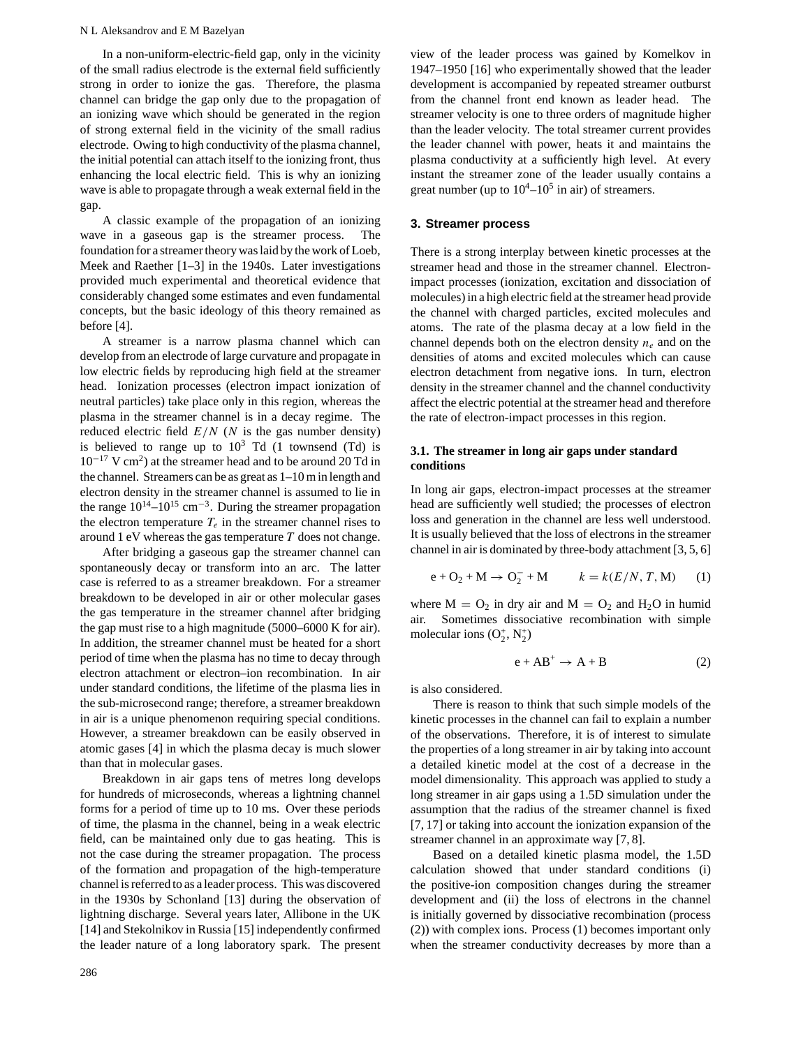#### N L Aleksandrov and E M Bazelyan

In a non-uniform-electric-field gap, only in the vicinity of the small radius electrode is the external field sufficiently strong in order to ionize the gas. Therefore, the plasma channel can bridge the gap only due to the propagation of an ionizing wave which should be generated in the region of strong external field in the vicinity of the small radius electrode. Owing to high conductivity of the plasma channel, the initial potential can attach itself to the ionizing front, thus enhancing the local electric field. This is why an ionizing wave is able to propagate through a weak external field in the gap.

A classic example of the propagation of an ionizing wave in a gaseous gap is the streamer process. The foundation for a streamer theory was laid by the work of Loeb, Meek and Raether [1–3] in the 1940s. Later investigations provided much experimental and theoretical evidence that considerably changed some estimates and even fundamental concepts, but the basic ideology of this theory remained as before [4].

A streamer is a narrow plasma channel which can develop from an electrode of large curvature and propagate in low electric fields by reproducing high field at the streamer head. Ionization processes (electron impact ionization of neutral particles) take place only in this region, whereas the plasma in the streamer channel is in a decay regime. The reduced electric field  $E/N$  (*N* is the gas number density) is believed to range up to  $10^3$  Td (1 townsend (Td) is  $10^{-17}$  V cm<sup>2</sup>) at the streamer head and to be around 20 Td in the channel. Streamers can be as great as 1–10 m in length and electron density in the streamer channel is assumed to lie in the range  $10^{14}$ – $10^{15}$  cm<sup>-3</sup>. During the streamer propagation the electron temperature  $T_e$  in the streamer channel rises to around 1 eV whereas the gas temperature *T* does not change.

After bridging a gaseous gap the streamer channel can spontaneously decay or transform into an arc. The latter case is referred to as a streamer breakdown. For a streamer breakdown to be developed in air or other molecular gases the gas temperature in the streamer channel after bridging the gap must rise to a high magnitude (5000–6000 K for air). In addition, the streamer channel must be heated for a short period of time when the plasma has no time to decay through electron attachment or electron–ion recombination. In air under standard conditions, the lifetime of the plasma lies in the sub-microsecond range; therefore, a streamer breakdown in air is a unique phenomenon requiring special conditions. However, a streamer breakdown can be easily observed in atomic gases [4] in which the plasma decay is much slower than that in molecular gases.

Breakdown in air gaps tens of metres long develops for hundreds of microseconds, whereas a lightning channel forms for a period of time up to 10 ms. Over these periods of time, the plasma in the channel, being in a weak electric field, can be maintained only due to gas heating. This is not the case during the streamer propagation. The process of the formation and propagation of the high-temperature channel is referred to as a leader process. This was discovered in the 1930s by Schonland [13] during the observation of lightning discharge. Several years later, Allibone in the UK [14] and Stekolnikov in Russia [15] independently confirmed the leader nature of a long laboratory spark. The present

286

view of the leader process was gained by Komelkov in 1947–1950 [16] who experimentally showed that the leader development is accompanied by repeated streamer outburst from the channel front end known as leader head. The streamer velocity is one to three orders of magnitude higher than the leader velocity. The total streamer current provides the leader channel with power, heats it and maintains the plasma conductivity at a sufficiently high level. At every instant the streamer zone of the leader usually contains a great number (up to  $10^4 - 10^5$  in air) of streamers.

# **3. Streamer process**

There is a strong interplay between kinetic processes at the streamer head and those in the streamer channel. Electronimpact processes (ionization, excitation and dissociation of molecules) in a high electric field at the streamer head provide the channel with charged particles, excited molecules and atoms. The rate of the plasma decay at a low field in the channel depends both on the electron density  $n_e$  and on the densities of atoms and excited molecules which can cause electron detachment from negative ions. In turn, electron density in the streamer channel and the channel conductivity affect the electric potential at the streamer head and therefore the rate of electron-impact processes in this region.

# **3.1. The streamer in long air gaps under standard conditions**

In long air gaps, electron-impact processes at the streamer head are sufficiently well studied; the processes of electron loss and generation in the channel are less well understood. It is usually believed that the loss of electrons in the streamer channel in air is dominated by three-body attachment [3, 5, 6]

$$
e + O_2 + M \rightarrow O_2^- + M
$$
  $k = k(E/N, T, M)$  (1)

where  $M = O_2$  in dry air and  $M = O_2$  and  $H_2O$  in humid air. Sometimes dissociative recombination with simple molecular ions  $(O_2^+, N_2^+)$ 

$$
e + AB^{+} \rightarrow A + B \tag{2}
$$

is also considered.

There is reason to think that such simple models of the kinetic processes in the channel can fail to explain a number of the observations. Therefore, it is of interest to simulate the properties of a long streamer in air by taking into account a detailed kinetic model at the cost of a decrease in the model dimensionality. This approach was applied to study a long streamer in air gaps using a 1.5D simulation under the assumption that the radius of the streamer channel is fixed [7, 17] or taking into account the ionization expansion of the streamer channel in an approximate way [7, 8].

Based on a detailed kinetic plasma model, the 1.5D calculation showed that under standard conditions (i) the positive-ion composition changes during the streamer development and (ii) the loss of electrons in the channel is initially governed by dissociative recombination (process (2)) with complex ions. Process (1) becomes important only when the streamer conductivity decreases by more than a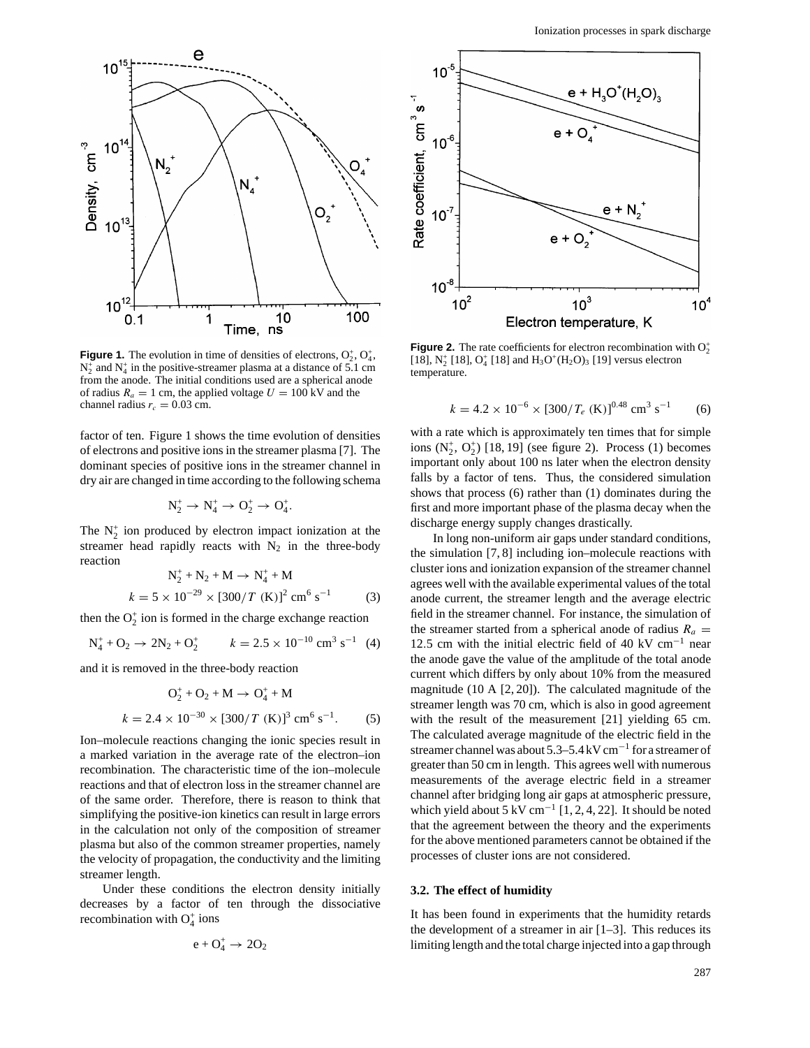

**Figure 1.** The evolution in time of densities of electrons,  $O_2^+$ ,  $O_4^+$ ,  $N_2^+$  and  $N_4^+$  in the positive-streamer plasma at a distance of 5.1 cm from the anode. The initial conditions used are a spherical anode of radius  $R_a = 1$  cm, the applied voltage  $U = 100$  kV and the channel radius  $r_c = 0.03$  cm.

factor of ten. Figure 1 shows the time evolution of densities of electrons and positive ions in the streamer plasma [7]. The dominant species of positive ions in the streamer channel in dry air are changed in time according to the following schema

$$
N_2^+\rightarrow N_4^+\rightarrow O_2^+\rightarrow O_4^+.
$$

The  $N_2^+$  ion produced by electron impact ionization at the streamer head rapidly reacts with  $N_2$  in the three-body reaction

$$
N_2^+ + N_2 + M \to N_4^+ + M
$$
  

$$
k = 5 \times 10^{-29} \times [300/T \text{ (K)}]^2 \text{ cm}^6 \text{ s}^{-1}
$$
 (3)

then the  $O_2^+$  ion is formed in the charge exchange reaction

$$
N_4^+ + O_2 \to 2N_2 + O_2^+ \qquad k = 2.5 \times 10^{-10} \text{ cm}^3 \text{ s}^{-1} \tag{4}
$$

and it is removed in the three-body reaction

$$
O_2^+ + O_2 + M \to O_4^+ + M
$$
  

$$
k = 2.4 \times 10^{-30} \times [300/T \text{ (K)}]^3 \text{ cm}^6 \text{ s}^{-1}. \tag{5}
$$

Ion–molecule reactions changing the ionic species result in a marked variation in the average rate of the electron–ion recombination. The characteristic time of the ion–molecule reactions and that of electron loss in the streamer channel are of the same order. Therefore, there is reason to think that simplifying the positive-ion kinetics can result in large errors in the calculation not only of the composition of streamer plasma but also of the common streamer properties, namely the velocity of propagation, the conductivity and the limiting streamer length.

Under these conditions the electron density initially decreases by a factor of ten through the dissociative recombination with  $O_4^+$  ions

$$
e+O_4^+\rightarrow\,2O_2
$$



**Figure 2.** The rate coefficients for electron recombination with  $O_2^+$ [18],  $N_2^+$  [18],  $O_4^+$  [18] and  $H_3O^+(H_2O)_3$  [19] versus electron temperature.

$$
k = 4.2 \times 10^{-6} \times [300/T_e \text{ (K)}]^{0.48} \text{ cm}^3 \text{ s}^{-1}
$$
 (6)

with a rate which is approximately ten times that for simple ions  $(N_2^+, O_2^+)$  [18, 19] (see figure 2). Process (1) becomes important only about 100 ns later when the electron density falls by a factor of tens. Thus, the considered simulation shows that process (6) rather than (1) dominates during the first and more important phase of the plasma decay when the discharge energy supply changes drastically.

In long non-uniform air gaps under standard conditions, the simulation [7, 8] including ion–molecule reactions with cluster ions and ionization expansion of the streamer channel agrees well with the available experimental values of the total anode current, the streamer length and the average electric field in the streamer channel. For instance, the simulation of the streamer started from a spherical anode of radius  $R_a$  = 12*.*5 cm with the initial electric field of 40 kV cm−<sup>1</sup> near the anode gave the value of the amplitude of the total anode current which differs by only about 10% from the measured magnitude (10 A [2, 20]). The calculated magnitude of the streamer length was 70 cm, which is also in good agreement with the result of the measurement [21] yielding 65 cm. The calculated average magnitude of the electric field in the streamer channel was about 5.3–5.4 kV cm−<sup>1</sup> for a streamer of greater than 50 cm in length. This agrees well with numerous measurements of the average electric field in a streamer channel after bridging long air gaps at atmospheric pressure, which yield about 5 kV cm<sup>-1</sup> [1, 2, 4, 22]. It should be noted that the agreement between the theory and the experiments for the above mentioned parameters cannot be obtained if the processes of cluster ions are not considered.

## **3.2. The effect of humidity**

It has been found in experiments that the humidity retards the development of a streamer in air [1–3]. This reduces its limiting length and the total charge injected into a gap through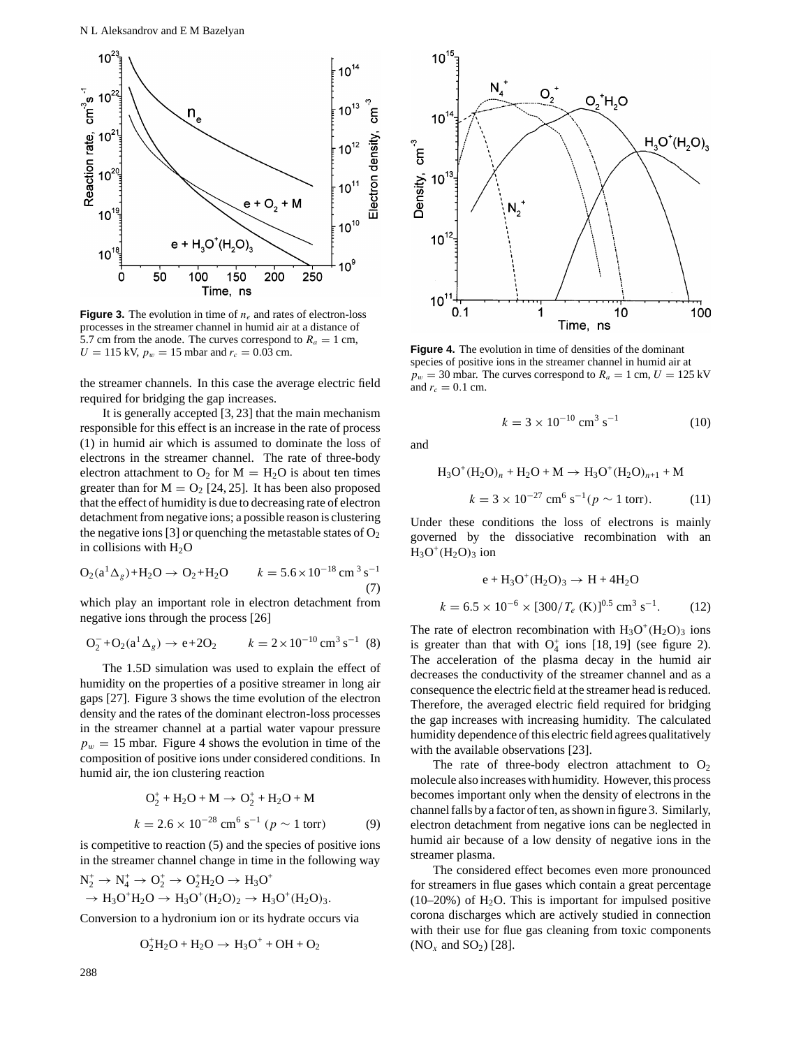

**Figure 3.** The evolution in time of  $n_e$  and rates of electron-loss processes in the streamer channel in humid air at a distance of 5.7 cm from the anode. The curves correspond to  $R_a = 1$  cm,  $U = 115$  kV,  $p_w = 15$  mbar and  $r_c = 0.03$  cm.

the streamer channels. In this case the average electric field required for bridging the gap increases.

It is generally accepted [3, 23] that the main mechanism responsible for this effect is an increase in the rate of process (1) in humid air which is assumed to dominate the loss of electrons in the streamer channel. The rate of three-body electron attachment to  $O_2$  for  $M = H_2O$  is about ten times greater than for  $M = O_2$  [24, 25]. It has been also proposed that the effect of humidity is due to decreasing rate of electron detachment from negative ions; a possible reason is clustering the negative ions [3] or quenching the metastable states of  $O_2$ in collisions with  $H_2O$ 

$$
O_2(a^1 \Delta_g) + H_2O \to O_2 + H_2O \qquad k = 5.6 \times 10^{-18} \text{ cm}^3 \text{ s}^{-1}
$$
  
(7)

which play an important role in electron detachment from negative ions through the process [26]

$$
O_2^- + O_2(a^1 \Delta_g) \to e + 2O_2 \qquad k = 2 \times 10^{-10} \text{ cm}^3 \text{ s}^{-1} \tag{8}
$$

The 1.5D simulation was used to explain the effect of humidity on the properties of a positive streamer in long air gaps [27]. Figure 3 shows the time evolution of the electron density and the rates of the dominant electron-loss processes in the streamer channel at a partial water vapour pressure  $p_w = 15$  mbar. Figure 4 shows the evolution in time of the composition of positive ions under considered conditions. In humid air, the ion clustering reaction

$$
O_2^+ + H_2O + M \to O_2^+ + H_2O + M
$$
  

$$
k = 2.6 \times 10^{-28} \text{ cm}^6 \text{ s}^{-1} \text{ (}p \sim 1 \text{ torr)} \text{ (9)}
$$

is competitive to reaction (5) and the species of positive ions in the streamer channel change in time in the following way

$$
N_2^+ \to N_4^+ \to O_2^+ \to O_2^+ H_2 O \to H_3 O^+ \to H_3 O^+ H_2 O \to H_3 O^+ (H_2 O)_2 \to H_3 O^+ (H_2 O)_3.
$$

Conversion to a hydronium ion or its hydrate occurs via

$$
O_2^+H_2O+H_2O\rightarrow\,H_3O^++OH+O_2
$$



**Figure 4.** The evolution in time of densities of the dominant species of positive ions in the streamer channel in humid air at  $p_w = 30$  mbar. The curves correspond to  $R_a = 1$  cm,  $U = 125$  kV and  $r_c = 0.1$  cm.

$$
k = 3 \times 10^{-10} \text{ cm}^3 \text{ s}^{-1} \tag{10}
$$

and

$$
H_3O^+(H_2O)_n + H_2O + M \to H_3O^+(H_2O)_{n+1} + M
$$
  

$$
k = 3 \times 10^{-27} \text{ cm}^6 \text{ s}^{-1} (p \sim 1 \text{ torr}).
$$
 (11)

Under these conditions the loss of electrons is mainly governed by the dissociative recombination with an  $H_3O^+(H_2O)_3$  ion

$$
e + H_3O^+(H_2O)_3 \to H + 4H_2O
$$
  

$$
k = 6.5 \times 10^{-6} \times [300/T_e \text{ (K)}]^{0.5} \text{ cm}^3 \text{ s}^{-1}. \tag{12}
$$

The rate of electron recombination with  $H_3O^+(H_2O)_3$  ions is greater than that with  $O_4^+$  ions [18, 19] (see figure 2). The acceleration of the plasma decay in the humid air decreases the conductivity of the streamer channel and as a consequence the electric field at the streamer head is reduced. Therefore, the averaged electric field required for bridging the gap increases with increasing humidity. The calculated humidity dependence of this electric field agrees qualitatively with the available observations [23].

The rate of three-body electron attachment to  $O_2$ molecule also increases with humidity. However, this process becomes important only when the density of electrons in the channel falls by a factor of ten, as shown in figure 3. Similarly, electron detachment from negative ions can be neglected in humid air because of a low density of negative ions in the streamer plasma.

The considered effect becomes even more pronounced for streamers in flue gases which contain a great percentage  $(10-20%)$  of H<sub>2</sub>O. This is important for impulsed positive corona discharges which are actively studied in connection with their use for flue gas cleaning from toxic components ( $NO_x$  and  $SO_2$ ) [28].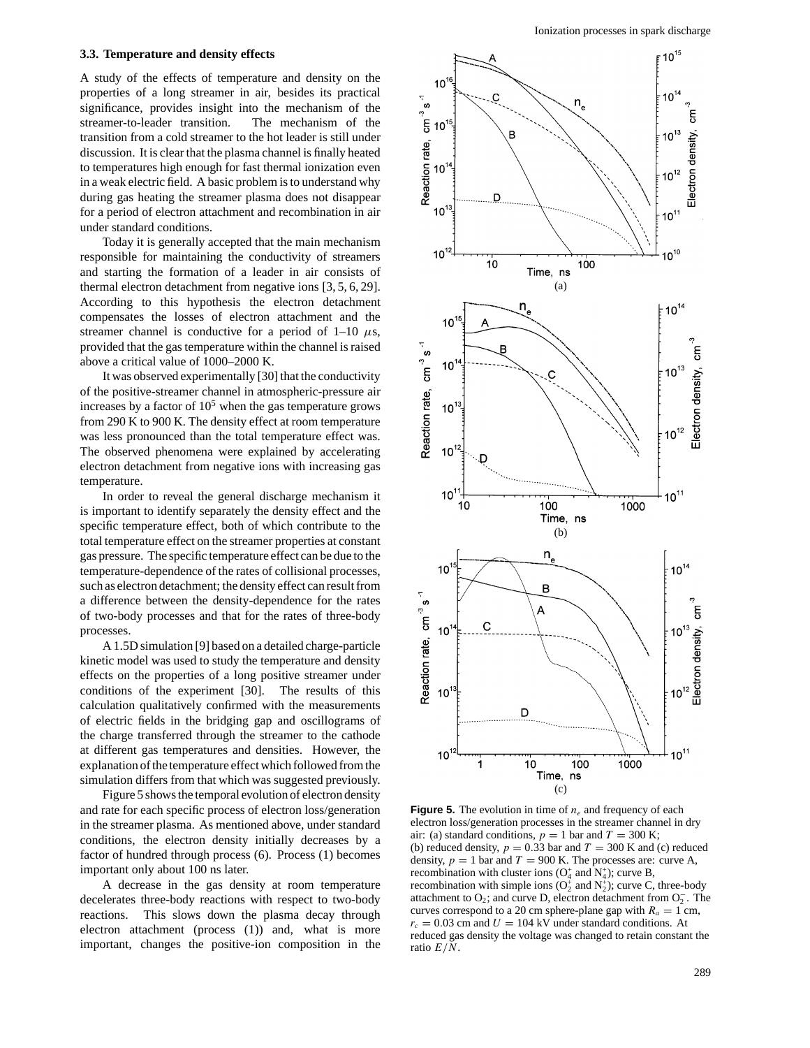#### **3.3. Temperature and density effects**

A study of the effects of temperature and density on the properties of a long streamer in air, besides its practical significance, provides insight into the mechanism of the streamer-to-leader transition. The mechanism of the transition from a cold streamer to the hot leader is still under discussion. It is clear that the plasma channel is finally heated to temperatures high enough for fast thermal ionization even in a weak electric field. A basic problem is to understand why during gas heating the streamer plasma does not disappear for a period of electron attachment and recombination in air under standard conditions.

Today it is generally accepted that the main mechanism responsible for maintaining the conductivity of streamers and starting the formation of a leader in air consists of thermal electron detachment from negative ions [3, 5, 6, 29]. According to this hypothesis the electron detachment compensates the losses of electron attachment and the streamer channel is conductive for a period of  $1-10 \mu s$ , provided that the gas temperature within the channel is raised above a critical value of 1000–2000 K.

It was observed experimentally [30] that the conductivity of the positive-streamer channel in atmospheric-pressure air increases by a factor of  $10<sup>5</sup>$  when the gas temperature grows from 290 K to 900 K. The density effect at room temperature was less pronounced than the total temperature effect was. The observed phenomena were explained by accelerating electron detachment from negative ions with increasing gas temperature.

In order to reveal the general discharge mechanism it is important to identify separately the density effect and the specific temperature effect, both of which contribute to the total temperature effect on the streamer properties at constant gas pressure. The specific temperature effect can be due to the temperature-dependence of the rates of collisional processes, such as electron detachment; the density effect can result from a difference between the density-dependence for the rates of two-body processes and that for the rates of three-body processes.

A 1.5D simulation [9] based on a detailed charge-particle kinetic model was used to study the temperature and density effects on the properties of a long positive streamer under conditions of the experiment [30]. The results of this calculation qualitatively confirmed with the measurements of electric fields in the bridging gap and oscillograms of the charge transferred through the streamer to the cathode at different gas temperatures and densities. However, the explanation of the temperature effect which followed from the simulation differs from that which was suggested previously.

Figure 5 shows the temporal evolution of electron density and rate for each specific process of electron loss/generation in the streamer plasma. As mentioned above, under standard conditions, the electron density initially decreases by a factor of hundred through process (6). Process (1) becomes important only about 100 ns later.

A decrease in the gas density at room temperature decelerates three-body reactions with respect to two-body reactions. This slows down the plasma decay through electron attachment (process (1)) and, what is more important, changes the positive-ion composition in the



**Figure 5.** The evolution in time of  $n_e$  and frequency of each electron loss/generation processes in the streamer channel in dry air: (a) standard conditions,  $p = 1$  bar and  $T = 300$  K; (b) reduced density,  $p = 0.33$  bar and  $T = 300$  K and (c) reduced density,  $p = 1$  bar and  $T = 900$  K. The processes are: curve A, recombination with cluster ions  $(O_4^+$  and  $N_4^+$ ); curve B, recombination with simple ions ( $O_2^+$  and  $N_2^+$ ); curve C, three-body attachment to  $O_2$ ; and curve D, electron detachment from  $O_2^-$ . The curves correspond to a 20 cm sphere-plane gap with  $R_a = 1$  cm,  $r_c = 0.03$  cm and  $U = 104$  kV under standard conditions. At reduced gas density the voltage was changed to retain constant the ratio *E/N*.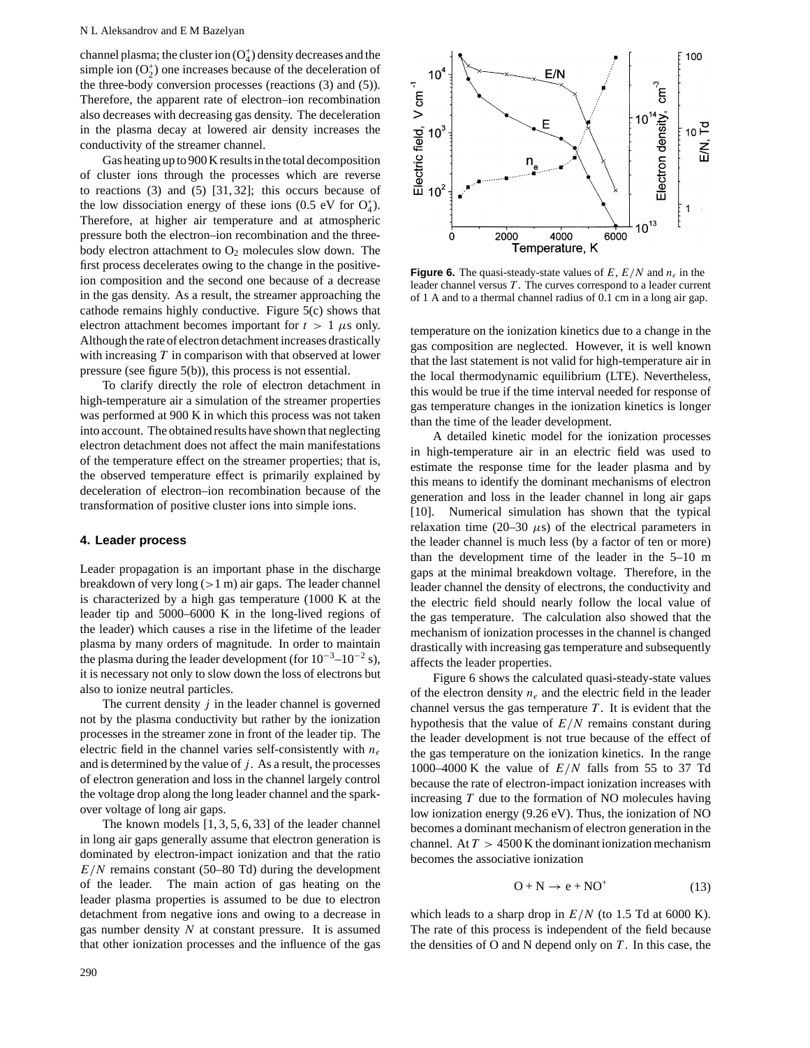#### N L Aleksandrov and E M Bazelyan

channel plasma; the cluster ion  $(O_4^+)$  density decreases and the simple ion  $(O_2^+)$  one increases because of the deceleration of the three-body conversion processes (reactions (3) and (5)). Therefore, the apparent rate of electron–ion recombination also decreases with decreasing gas density. The deceleration in the plasma decay at lowered air density increases the conductivity of the streamer channel.

Gas heating up to 900 K results in the total decomposition of cluster ions through the processes which are reverse to reactions (3) and (5) [31, 32]; this occurs because of the low dissociation energy of these ions (0.5 eV for  $O_4^+$ ). Therefore, at higher air temperature and at atmospheric pressure both the electron–ion recombination and the threebody electron attachment to  $O_2$  molecules slow down. The first process decelerates owing to the change in the positiveion composition and the second one because of a decrease in the gas density. As a result, the streamer approaching the cathode remains highly conductive. Figure 5(c) shows that electron attachment becomes important for  $t > 1$   $\mu$ s only. Although the rate of electron detachment increases drastically with increasing *T* in comparison with that observed at lower pressure (see figure 5(b)), this process is not essential.

To clarify directly the role of electron detachment in high-temperature air a simulation of the streamer properties was performed at 900 K in which this process was not taken into account. The obtained results have shown that neglecting electron detachment does not affect the main manifestations of the temperature effect on the streamer properties; that is, the observed temperature effect is primarily explained by deceleration of electron–ion recombination because of the transformation of positive cluster ions into simple ions.

#### **4. Leader process**

Leader propagation is an important phase in the discharge breakdown of very long (*>*1 m) air gaps. The leader channel is characterized by a high gas temperature (1000 K at the leader tip and 5000–6000 K in the long-lived regions of the leader) which causes a rise in the lifetime of the leader plasma by many orders of magnitude. In order to maintain the plasma during the leader development (for  $10^{-3}$ – $10^{-2}$  s), it is necessary not only to slow down the loss of electrons but also to ionize neutral particles.

The current density *j* in the leader channel is governed not by the plasma conductivity but rather by the ionization processes in the streamer zone in front of the leader tip. The electric field in the channel varies self-consistently with *ne* and is determined by the value of *j* . As a result, the processes of electron generation and loss in the channel largely control the voltage drop along the long leader channel and the sparkover voltage of long air gaps.

The known models [1, 3, 5, 6, 33] of the leader channel in long air gaps generally assume that electron generation is dominated by electron-impact ionization and that the ratio *E/N* remains constant (50–80 Td) during the development of the leader. The main action of gas heating on the leader plasma properties is assumed to be due to electron detachment from negative ions and owing to a decrease in gas number density *N* at constant pressure. It is assumed that other ionization processes and the influence of the gas



**Figure 6.** The quasi-steady-state values of  $E$ ,  $E/N$  and  $n_e$  in the leader channel versus *T* . The curves correspond to a leader current of 1 A and to a thermal channel radius of 0.1 cm in a long air gap.

temperature on the ionization kinetics due to a change in the gas composition are neglected. However, it is well known that the last statement is not valid for high-temperature air in the local thermodynamic equilibrium (LTE). Nevertheless, this would be true if the time interval needed for response of gas temperature changes in the ionization kinetics is longer than the time of the leader development.

A detailed kinetic model for the ionization processes in high-temperature air in an electric field was used to estimate the response time for the leader plasma and by this means to identify the dominant mechanisms of electron generation and loss in the leader channel in long air gaps [10]. Numerical simulation has shown that the typical relaxation time  $(20-30 \mu s)$  of the electrical parameters in the leader channel is much less (by a factor of ten or more) than the development time of the leader in the 5–10 m gaps at the minimal breakdown voltage. Therefore, in the leader channel the density of electrons, the conductivity and the electric field should nearly follow the local value of the gas temperature. The calculation also showed that the mechanism of ionization processes in the channel is changed drastically with increasing gas temperature and subsequently affects the leader properties.

Figure 6 shows the calculated quasi-steady-state values of the electron density  $n_e$  and the electric field in the leader channel versus the gas temperature *T* . It is evident that the hypothesis that the value of *E/N* remains constant during the leader development is not true because of the effect of the gas temperature on the ionization kinetics. In the range 1000–4000 K the value of *E/N* falls from 55 to 37 Td because the rate of electron-impact ionization increases with increasing *T* due to the formation of NO molecules having low ionization energy (9.26 eV). Thus, the ionization of NO becomes a dominant mechanism of electron generation in the channel. At *T >* 4500 K the dominant ionization mechanism becomes the associative ionization

$$
O + N \to e + NO^{+}
$$
 (13)

which leads to a sharp drop in  $E/N$  (to 1.5 Td at 6000 K). The rate of this process is independent of the field because the densities of O and N depend only on *T* . In this case, the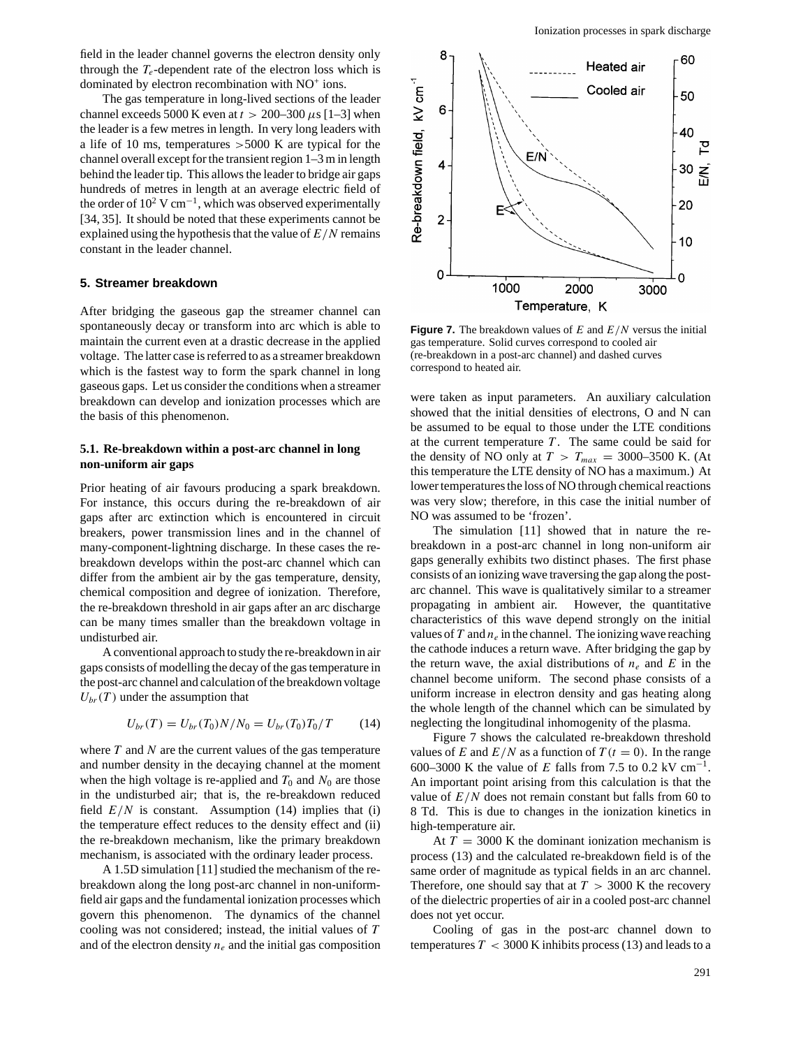field in the leader channel governs the electron density only through the  $T_e$ -dependent rate of the electron loss which is dominated by electron recombination with NO+ ions.

The gas temperature in long-lived sections of the leader channel exceeds 5000 K even at  $t > 200-300 \mu s$  [1–3] when the leader is a few metres in length. In very long leaders with a life of 10 ms, temperatures *>*5000 K are typical for the channel overall except for the transient region 1–3 m in length behind the leader tip. This allows the leader to bridge air gaps hundreds of metres in length at an average electric field of the order of  $10^2$  V cm<sup>-1</sup>, which was observed experimentally [34, 35]. It should be noted that these experiments cannot be explained using the hypothesis that the value of *E/N* remains constant in the leader channel.

## **5. Streamer breakdown**

After bridging the gaseous gap the streamer channel can spontaneously decay or transform into arc which is able to maintain the current even at a drastic decrease in the applied voltage. The latter case is referred to as a streamer breakdown which is the fastest way to form the spark channel in long gaseous gaps. Let us consider the conditions when a streamer breakdown can develop and ionization processes which are the basis of this phenomenon.

# **5.1. Re-breakdown within a post-arc channel in long non-uniform air gaps**

Prior heating of air favours producing a spark breakdown. For instance, this occurs during the re-breakdown of air gaps after arc extinction which is encountered in circuit breakers, power transmission lines and in the channel of many-component-lightning discharge. In these cases the rebreakdown develops within the post-arc channel which can differ from the ambient air by the gas temperature, density, chemical composition and degree of ionization. Therefore, the re-breakdown threshold in air gaps after an arc discharge can be many times smaller than the breakdown voltage in undisturbed air.

A conventional approach to study the re-breakdown in air gaps consists of modelling the decay of the gas temperature in the post-arc channel and calculation of the breakdown voltage  $U_{\text{br}}(T)$  under the assumption that

$$
U_{br}(T) = U_{br}(T_0)N/N_0 = U_{br}(T_0)T_0/T \qquad (14)
$$

where *T* and *N* are the current values of the gas temperature and number density in the decaying channel at the moment when the high voltage is re-applied and  $T_0$  and  $N_0$  are those in the undisturbed air; that is, the re-breakdown reduced field  $E/N$  is constant. Assumption (14) implies that (i) the temperature effect reduces to the density effect and (ii) the re-breakdown mechanism, like the primary breakdown mechanism, is associated with the ordinary leader process.

A 1.5D simulation [11] studied the mechanism of the rebreakdown along the long post-arc channel in non-uniformfield air gaps and the fundamental ionization processes which govern this phenomenon. The dynamics of the channel cooling was not considered; instead, the initial values of *T* and of the electron density  $n_e$  and the initial gas composition



**Figure 7.** The breakdown values of *E* and *E/N* versus the initial gas temperature. Solid curves correspond to cooled air (re-breakdown in a post-arc channel) and dashed curves correspond to heated air.

were taken as input parameters. An auxiliary calculation showed that the initial densities of electrons, O and N can be assumed to be equal to those under the LTE conditions at the current temperature *T* . The same could be said for the density of NO only at  $T > T_{max} = 3000-3500$  K. (At this temperature the LTE density of NO has a maximum.) At lower temperatures the loss of NO through chemical reactions was very slow; therefore, in this case the initial number of NO was assumed to be 'frozen'.

The simulation [11] showed that in nature the rebreakdown in a post-arc channel in long non-uniform air gaps generally exhibits two distinct phases. The first phase consists of an ionizing wave traversing the gap along the postarc channel. This wave is qualitatively similar to a streamer propagating in ambient air. However, the quantitative characteristics of this wave depend strongly on the initial values of  $T$  and  $n_e$  in the channel. The ionizing wave reaching the cathode induces a return wave. After bridging the gap by the return wave, the axial distributions of  $n_e$  and E in the channel become uniform. The second phase consists of a uniform increase in electron density and gas heating along the whole length of the channel which can be simulated by neglecting the longitudinal inhomogenity of the plasma.

Figure 7 shows the calculated re-breakdown threshold values of *E* and  $E/N$  as a function of  $T(t = 0)$ . In the range 600–3000 K the value of *E* falls from 7.5 to 0.2 kV cm<sup>-1</sup>. An important point arising from this calculation is that the value of  $E/N$  does not remain constant but falls from 60 to 8 Td. This is due to changes in the ionization kinetics in high-temperature air.

At  $T = 3000$  K the dominant ionization mechanism is process (13) and the calculated re-breakdown field is of the same order of magnitude as typical fields in an arc channel. Therefore, one should say that at  $T > 3000$  K the recovery of the dielectric properties of air in a cooled post-arc channel does not yet occur.

Cooling of gas in the post-arc channel down to temperatures  $T < 3000$  K inhibits process (13) and leads to a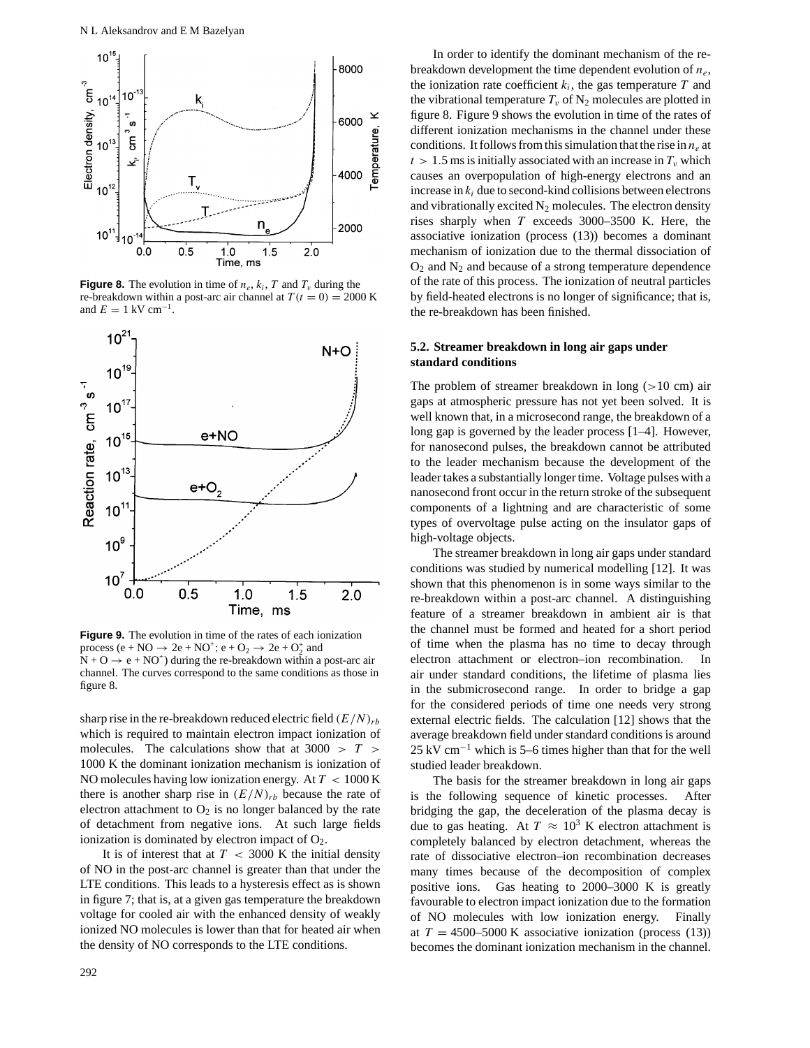

**Figure 8.** The evolution in time of  $n_e$ ,  $k_i$ ,  $T$  and  $T_v$  during the re-breakdown within a post-arc air channel at  $T(t = 0) = 2000$  K and  $E = 1 \text{ kV cm}^{-1}$ .



**Figure 9.** The evolution in time of the rates of each ionization process (e + NO  $\rightarrow$  2e + NO<sup>+</sup>; e + O<sub>2</sub>  $\rightarrow$  2e + O<sub>2</sub><sup>+</sup> and  $N + O \rightarrow e + NO^{+}$ ) during the re-breakdown within a post-arc air channel. The curves correspond to the same conditions as those in figure 8.

sharp rise in the re-breakdown reduced electric field  $(E/N)_{rb}$ which is required to maintain electron impact ionization of molecules. The calculations show that at 3000 *>T >* 1000 K the dominant ionization mechanism is ionization of NO molecules having low ionization energy. At *T <* 1000 K there is another sharp rise in  $(E/N)_{rb}$  because the rate of electron attachment to  $O_2$  is no longer balanced by the rate of detachment from negative ions. At such large fields ionization is dominated by electron impact of  $O<sub>2</sub>$ .

It is of interest that at  $T < 3000$  K the initial density of NO in the post-arc channel is greater than that under the LTE conditions. This leads to a hysteresis effect as is shown in figure 7; that is, at a given gas temperature the breakdown voltage for cooled air with the enhanced density of weakly ionized NO molecules is lower than that for heated air when the density of NO corresponds to the LTE conditions.

In order to identify the dominant mechanism of the rebreakdown development the time dependent evolution of *ne*, the ionization rate coefficient  $k_i$ , the gas temperature  $T$  and the vibrational temperature  $T_v$  of  $N_2$  molecules are plotted in figure 8. Figure 9 shows the evolution in time of the rates of different ionization mechanisms in the channel under these conditions. It follows from this simulation that the rise in  $n_e$  at  $t > 1.5$  ms is initially associated with an increase in  $T<sub>v</sub>$  which causes an overpopulation of high-energy electrons and an increase in  $k_i$  due to second-kind collisions between electrons and vibrationally excited  $N<sub>2</sub>$  molecules. The electron density rises sharply when *T* exceeds 3000–3500 K. Here, the associative ionization (process (13)) becomes a dominant mechanism of ionization due to the thermal dissociation of  $O<sub>2</sub>$  and  $N<sub>2</sub>$  and because of a strong temperature dependence of the rate of this process. The ionization of neutral particles by field-heated electrons is no longer of significance; that is, the re-breakdown has been finished.

# **5.2. Streamer breakdown in long air gaps under standard conditions**

The problem of streamer breakdown in long (*>*10 cm) air gaps at atmospheric pressure has not yet been solved. It is well known that, in a microsecond range, the breakdown of a long gap is governed by the leader process [1–4]. However, for nanosecond pulses, the breakdown cannot be attributed to the leader mechanism because the development of the leader takes a substantially longer time. Voltage pulses with a nanosecond front occur in the return stroke of the subsequent components of a lightning and are characteristic of some types of overvoltage pulse acting on the insulator gaps of high-voltage objects.

The streamer breakdown in long air gaps under standard conditions was studied by numerical modelling [12]. It was shown that this phenomenon is in some ways similar to the re-breakdown within a post-arc channel. A distinguishing feature of a streamer breakdown in ambient air is that the channel must be formed and heated for a short period of time when the plasma has no time to decay through electron attachment or electron–ion recombination. air under standard conditions, the lifetime of plasma lies in the submicrosecond range. In order to bridge a gap for the considered periods of time one needs very strong external electric fields. The calculation [12] shows that the average breakdown field under standard conditions is around 25 kV cm−<sup>1</sup> which is 5–6 times higher than that for the well studied leader breakdown.

The basis for the streamer breakdown in long air gaps is the following sequence of kinetic processes. After bridging the gap, the deceleration of the plasma decay is due to gas heating. At  $T \approx 10^3$  K electron attachment is completely balanced by electron detachment, whereas the rate of dissociative electron–ion recombination decreases many times because of the decomposition of complex positive ions. Gas heating to 2000–3000 K is greatly favourable to electron impact ionization due to the formation of NO molecules with low ionization energy. Finally at  $T = 4500 - 5000$  K associative ionization (process (13)) becomes the dominant ionization mechanism in the channel.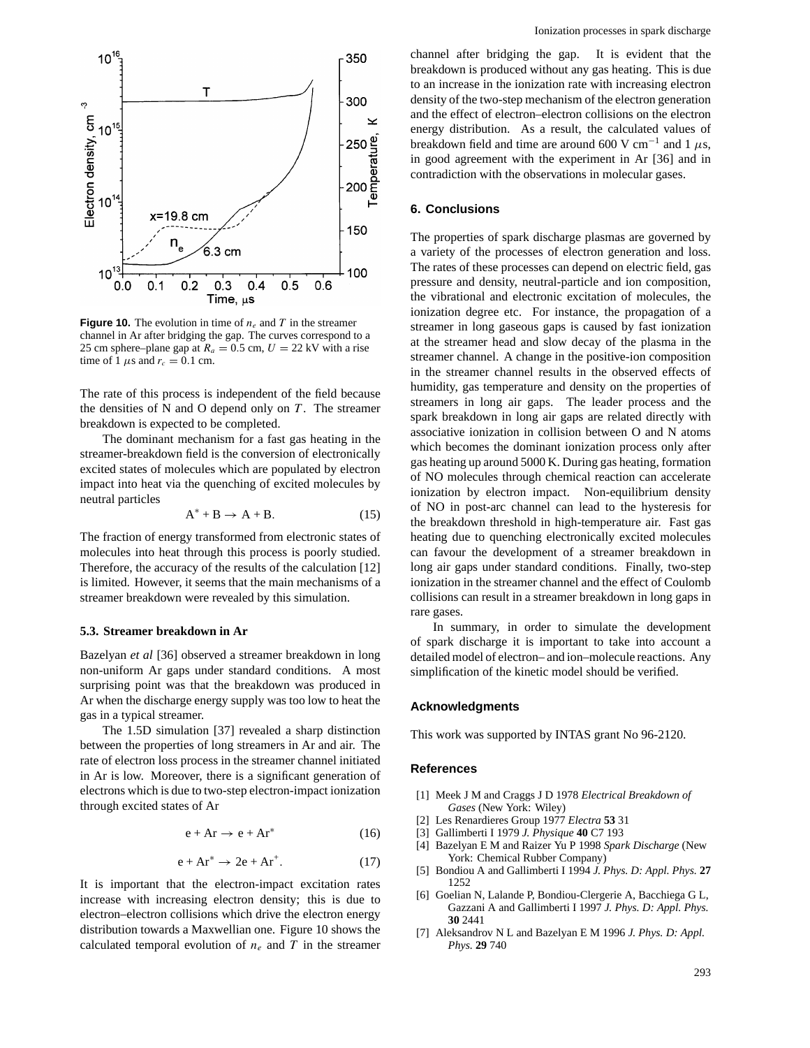

**Figure 10.** The evolution in time of  $n_e$  and  $T$  in the streamer channel in Ar after bridging the gap. The curves correspond to a 25 cm sphere–plane gap at  $R_a = 0.5$  cm,  $U = 22$  kV with a rise time of 1  $\mu$ s and  $r_c = 0.1$  cm.

The rate of this process is independent of the field because the densities of N and O depend only on  $T$ . The streamer breakdown is expected to be completed.

The dominant mechanism for a fast gas heating in the streamer-breakdown field is the conversion of electronically excited states of molecules which are populated by electron impact into heat via the quenching of excited molecules by neutral particles

$$
A^* + B \to A + B. \tag{15}
$$

The fraction of energy transformed from electronic states of molecules into heat through this process is poorly studied. Therefore, the accuracy of the results of the calculation [12] is limited. However, it seems that the main mechanisms of a streamer breakdown were revealed by this simulation.

## **5.3. Streamer breakdown in Ar**

Bazelyan *et al* [36] observed a streamer breakdown in long non-uniform Ar gaps under standard conditions. A most surprising point was that the breakdown was produced in Ar when the discharge energy supply was too low to heat the gas in a typical streamer.

The 1.5D simulation [37] revealed a sharp distinction between the properties of long streamers in Ar and air. The rate of electron loss process in the streamer channel initiated in Ar is low. Moreover, there is a significant generation of electrons which is due to two-step electron-impact ionization through excited states of Ar

$$
e + Ar \to e + Ar^* \tag{16}
$$

$$
e + Ar^* \to 2e + Ar^+.
$$
 (17)

It is important that the electron-impact excitation rates increase with increasing electron density; this is due to electron–electron collisions which drive the electron energy distribution towards a Maxwellian one. Figure 10 shows the calculated temporal evolution of  $n_e$  and  $T$  in the streamer channel after bridging the gap. It is evident that the breakdown is produced without any gas heating. This is due to an increase in the ionization rate with increasing electron density of the two-step mechanism of the electron generation and the effect of electron–electron collisions on the electron energy distribution. As a result, the calculated values of breakdown field and time are around 600 V cm<sup>-1</sup> and 1  $\mu$ s, in good agreement with the experiment in Ar [36] and in contradiction with the observations in molecular gases.

## **6. Conclusions**

The properties of spark discharge plasmas are governed by a variety of the processes of electron generation and loss. The rates of these processes can depend on electric field, gas pressure and density, neutral-particle and ion composition, the vibrational and electronic excitation of molecules, the ionization degree etc. For instance, the propagation of a streamer in long gaseous gaps is caused by fast ionization at the streamer head and slow decay of the plasma in the streamer channel. A change in the positive-ion composition in the streamer channel results in the observed effects of humidity, gas temperature and density on the properties of streamers in long air gaps. The leader process and the spark breakdown in long air gaps are related directly with associative ionization in collision between O and N atoms which becomes the dominant ionization process only after gas heating up around 5000 K. During gas heating, formation of NO molecules through chemical reaction can accelerate ionization by electron impact. Non-equilibrium density of NO in post-arc channel can lead to the hysteresis for the breakdown threshold in high-temperature air. Fast gas heating due to quenching electronically excited molecules can favour the development of a streamer breakdown in long air gaps under standard conditions. Finally, two-step ionization in the streamer channel and the effect of Coulomb collisions can result in a streamer breakdown in long gaps in rare gases.

In summary, in order to simulate the development of spark discharge it is important to take into account a detailed model of electron– and ion–molecule reactions. Any simplification of the kinetic model should be verified.

# **Acknowledgments**

This work was supported by INTAS grant No 96-2120.

## **References**

- [1] Meek J M and Craggs J D 1978 *Electrical Breakdown of Gases* (New York: Wiley)
- [2] Les Renardieres Group 1977 *Electra* **53** 31
- [3] Gallimberti I 1979 *J. Physique* **40** C7 193
- [4] Bazelyan E M and Raizer Yu P 1998 *Spark Discharge* (New York: Chemical Rubber Company)
- [5] Bondiou A and Gallimberti I 1994 *J. Phys. D: Appl. Phys.* **27** 1252
- [6] Goelian N, Lalande P, Bondiou-Clergerie A, Bacchiega G L, Gazzani A and Gallimberti I 1997 *J. Phys. D: Appl. Phys.* **30** 2441
- [7] Aleksandrov N L and Bazelyan E M 1996 *J. Phys. D: Appl. Phys.* **29** 740